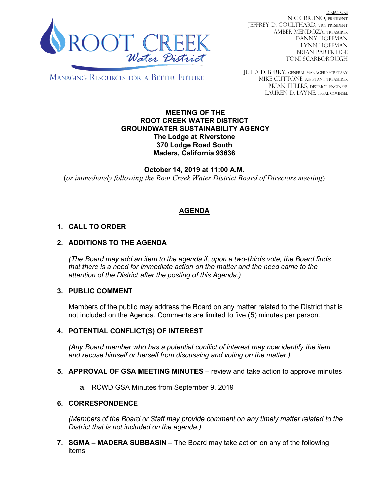

DIRECTORS NICK BRUNO, PRESIDENT JEFFREY D. COULTHARD, Vice President AMBER MENDOZA, TREASURER DANNY HOFFMAN LYNN HOFFMAN BRIAN PARTRIDGE TONI SCARBOROUGH

MANAGING RESOURCES FOR A BETTER FUTURE

JULIA D. BERRY, GENERAL MANAGER/secretary MIKE CUTTONE, Assistant treasurer BRIAN EHLERS, DISTRICT ENGINEER LAUREN D. LAYNE, LEGAL COUNSEL

#### **MEETING OF THE ROOT CREEK WATER DISTRICT GROUNDWATER SUSTAINABILITY AGENCY The Lodge at Riverstone 370 Lodge Road South Madera, California 93636**

**October 14, 2019 at 11:00 A.M.** (*or immediately following the Root Creek Water District Board of Directors meeting*)

# **AGENDA**

## **1. CALL TO ORDER**

## **2. ADDITIONS TO THE AGENDA**

*(The Board may add an item to the agenda if, upon a two-thirds vote, the Board finds that there is a need for immediate action on the matter and the need came to the attention of the District after the posting of this Agenda.)*

### **3. PUBLIC COMMENT**

Members of the public may address the Board on any matter related to the District that is not included on the Agenda. Comments are limited to five (5) minutes per person.

### **4. POTENTIAL CONFLICT(S) OF INTEREST**

*(Any Board member who has a potential conflict of interest may now identify the item and recuse himself or herself from discussing and voting on the matter.)*

- **5. APPROVAL OF GSA MEETING MINUTES** review and take action to approve minutes
	- a. RCWD GSA Minutes from September 9, 2019

### **6. CORRESPONDENCE**

*(Members of the Board or Staff may provide comment on any timely matter related to the District that is not included on the agenda.)*

**7. SGMA – MADERA SUBBASIN** – The Board may take action on any of the following items